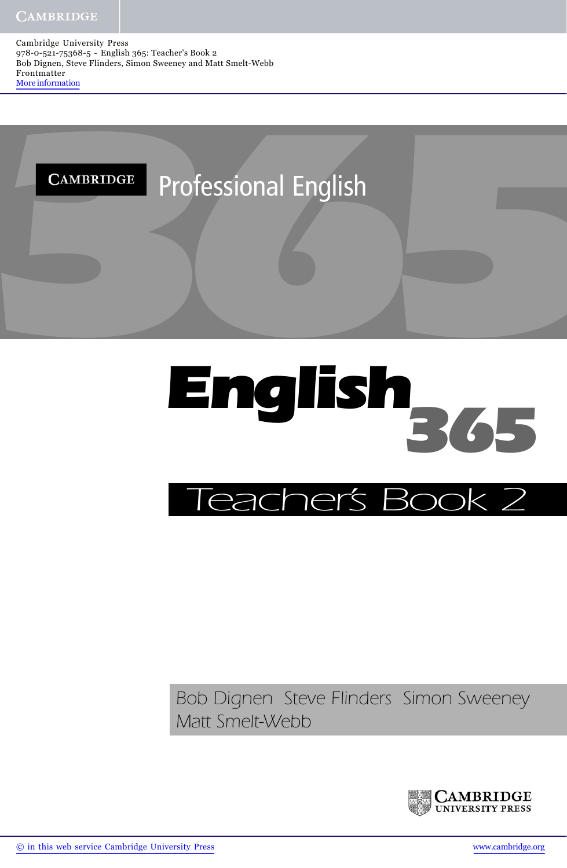



## *Bob Dignen Steve Flinders Simon Sweeney Matt Smelt-Webb*

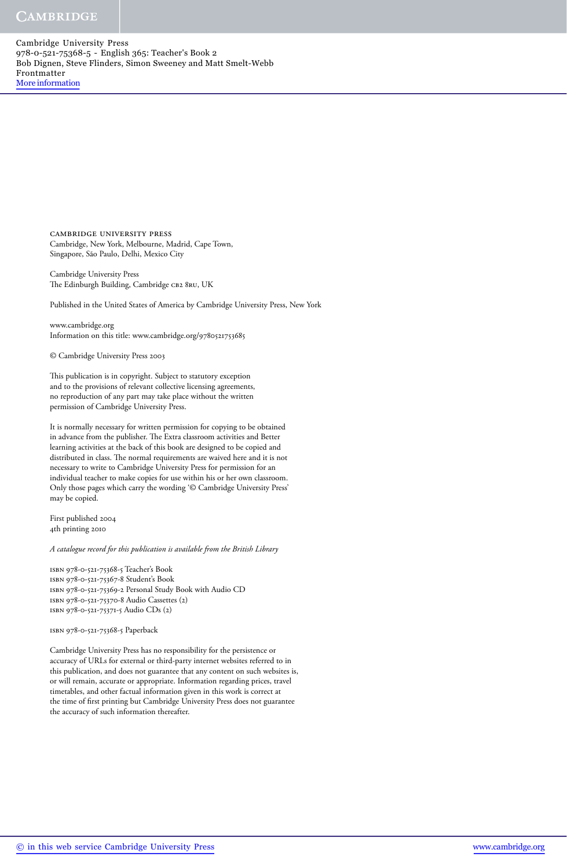> cambridge university press Cambridge, New York, Melbourne, Madrid, Cape Town, Singapore, São Paulo, Delhi, Mexico City

Cambridge University Press The Edinburgh Building, Cambridge CB2 8RU, UK

Published in the United States of America by Cambridge University Press, New York

www.cambridge.org Information on this title: www.cambridge.org/9780521753685

© Cambridge University Press 2003

This publication is in copyright. Subject to statutory exception and to the provisions of relevant collective licensing agreements, no reproduction of any part may take place without the written permission of Cambridge University Press.

It is normally necessary for written permission for copying to be obtained in advance from the publisher. The Extra classroom activities and Better learning activities at the back of this book are designed to be copied and distributed in class. The normal requirements are waived here and it is not necessary to write to Cambridge University Press for permission for an individual teacher to make copies for use within his or her own classroom. Only those pages which carry the wording '© Cambridge University Press' may be copied.

First published 2004 4th printing 2010

*A catalogue record for this publication is available from the British Library*

isbn 978-0-521-75368-5 Teacher's Book isbn 978-0-521-75367-8 Student's Book isbn 978-0-521-75369-2 Personal Study Book with Audio CD isbn 978-0-521-75370-8 Audio Cassettes (2) isbn 978-0-521-75371-5 Audio CDs (2)

isbn 978-0-521-75368-5 Paperback

Cambridge University Press has no responsibility for the persistence or accuracy of URLs for external or third-party internet websites referred to in this publication, and does not guarantee that any content on such websites is, or will remain, accurate or appropriate. Information regarding prices, travel timetables, and other factual information given in this work is correct at the time of first printing but Cambridge University Press does not guarantee the accuracy of such information thereafter.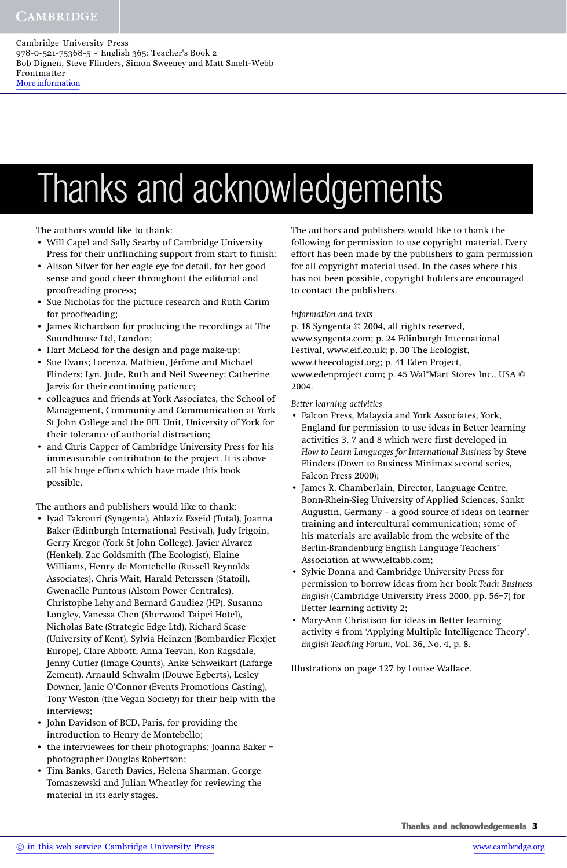# Thanks and acknowledgements

The authors would like to thank:

- Will Capel and Sally Searby of Cambridge University Press for their unflinching support from start to finish;
- Alison Silver for her eagle eye for detail, for her good sense and good cheer throughout the editorial and proofreading process;
- Sue Nicholas for the picture research and Ruth Carim for proofreading;
- James Richardson for producing the recordings at The Soundhouse Ltd, London;
- Hart McLeod for the design and page make-up;
- Sue Evans; Lorenza, Mathieu, Jérôme and Michael Flinders; Lyn, Jude, Ruth and Neil Sweeney; Catherine Jarvis for their continuing patience;
- colleagues and friends at York Associates, the School of Management, Community and Communication at York St John College and the EFL Unit, University of York for their tolerance of authorial distraction;
- and Chris Capper of Cambridge University Press for his immeasurable contribution to the project. It is above all his huge efforts which have made this book possible.

The authors and publishers would like to thank:

- Iyad Takrouri (Syngenta), Ablaziz Esseid (Total), Joanna Baker (Edinburgh International Festival), Judy Irigoin, Gerry Kregor (York St John College), Javier Alvarez (Henkel), Zac Goldsmith (The Ecologist), Elaine Williams, Henry de Montebello (Russell Reynolds Associates), Chris Wait, Harald Peterssen (Statoil), Gwenaëlle Puntous (Alstom Power Centrales), Christophe Lehy and Bernard Gaudiez (HP), Susanna Longley, Vanessa Chen (Sherwood Taipei Hotel), Nicholas Bate (Strategic Edge Ltd), Richard Scase (University of Kent), Sylvia Heinzen (Bombardier Flexjet Europe), Clare Abbott, Anna Teevan, Ron Ragsdale, Jenny Cutler (Image Counts), Anke Schweikart (Lafarge Zement), Arnauld Schwalm (Douwe Egberts), Lesley Downer, Janie O'Connor (Events Promotions Casting), Tony Weston (the Vegan Society) for their help with the interviews;
- John Davidson of BCD, Paris, for providing the introduction to Henry de Montebello;
- the interviewees for their photographs; Joanna Baker photographer Douglas Robertson;
- Tim Banks, Gareth Davies, Helena Sharman, George Tomaszewski and Julian Wheatley for reviewing the material in its early stages.

The authors and publishers would like to thank the following for permission to use copyright material. Every effort has been made by the publishers to gain permission for all copyright material used. In the cases where this has not been possible, copyright holders are encouraged to contact the publishers.

#### *Information and texts*

p. 18 Syngenta © 2004, all rights reserved, www.syngenta.com; p. 24 Edinburgh International Festival, www.eif.co.uk; p. 30 The Ecologist, www.theecologist.org; p. 41 Eden Project, www.edenproject.com; p. 45 Wal\*Mart Stores Inc., USA © 2004.

*Better learning activities*

- Falcon Press, Malaysia and York Associates, York, England for permission to use ideas in Better learning activities 3, 7 and 8 which were first developed in *How to Learn Languages for International Business* by Steve Flinders (Down to Business Minimax second series, Falcon Press 2000);
- James R. Chamberlain, Director, Language Centre, Bonn-Rhein-Sieg University of Applied Sciences, Sankt Augustin, Germany – a good source of ideas on learner training and intercultural communication; some of his materials are available from the website of the Berlin-Brandenburg English Language Teachers' Association at www.eltabb.com;
- Sylvie Donna and Cambridge University Press for permission to borrow ideas from her book *Teach Business English* (Cambridge University Press 2000, pp. 56–7) for Better learning activity 2;
- Mary-Ann Christison for ideas in Better learning activity 4 from 'Applying Multiple Intelligence Theory', *English Teaching Forum*, Vol. 36, No. 4, p. 8.

Illustrations on page 127 by Louise Wallace.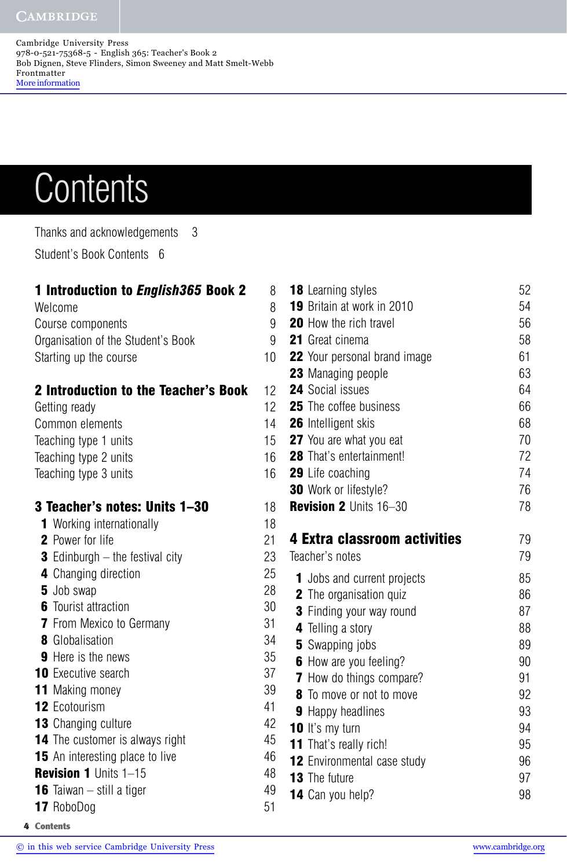# **Contents**

Thanks and acknowledgements 3 Student's Book Contents 6

| <b>1 Introduction to English365 Book 2</b><br>Welcome<br>Course components | 8<br>8<br>9 |
|----------------------------------------------------------------------------|-------------|
| Organisation of the Student's Book<br>Starting up the course               | 9<br>10     |
| <b>2 Introduction to the Teacher's Book</b><br>Getting ready               | 12<br>12    |
| Common elements                                                            | 14          |
| Teaching type 1 units                                                      | 15          |
| Teaching type 2 units                                                      | 16          |
| Teaching type 3 units                                                      | 16          |
| 3 Teacher's notes: Units 1-30                                              | 18          |
| <b>1</b> Working internationally                                           | 18          |
| <b>2</b> Power for life                                                    | 21          |
| <b>3</b> Edinburgh $-$ the festival city                                   | 23          |
| 4 Changing direction                                                       | 25          |
| 5 Job swap                                                                 | 28          |
| <b>6</b> Tourist attraction                                                | 30          |
| <b>7</b> From Mexico to Germany                                            | 31          |
| <b>8</b> Globalisation                                                     | 34          |
| <b>9</b> Here is the news                                                  | 35          |
| <b>10</b> Executive search                                                 | 37          |
| <b>11</b> Making money                                                     | 39          |
| <b>12 Ecotourism</b>                                                       | 41          |
| <b>13</b> Changing culture                                                 | 42          |
| <b>14</b> The customer is always right                                     | 45          |
| <b>15</b> An interesting place to live                                     | 46          |
| <b>Revision 1 Units 1-15</b>                                               | 48          |

- **16** Taiwan still a tiger  $\frac{49}{49}$
- **17** RoboDog 51
- **18** Learning styles 52 **19** Britain at work in 2010 **20** How the rich travel 56 **21** Great cinema 58 **22** Your personal brand image 61 **23** Managing people 63 **24** Social issues 64 **25** The coffee business 66 26 Intelligent skis 68 **27** You are what you eat 70 **28** That's entertainment! 72 **29** Life coaching 74 **30** Work or lifestyle? 76 **Revision 2** Units 16–30 **78 4 Extra classroom activities** 79 Teacher's notes 79 **1** Jobs and current projects 85 **2** The organisation quiz 86 **3** Finding your way round 87 **4** Telling a story 88 **5** Swapping jobs 89 **6** How are you feeling? 90 **7** How do things compare? 91 **8** To move or not to move **92 9** Happy headlines 93 **10** It's my turn 94 **11** That's really rich! 95 **12** Environmental case study 96 **13** The future 97 **14** Can you help? 98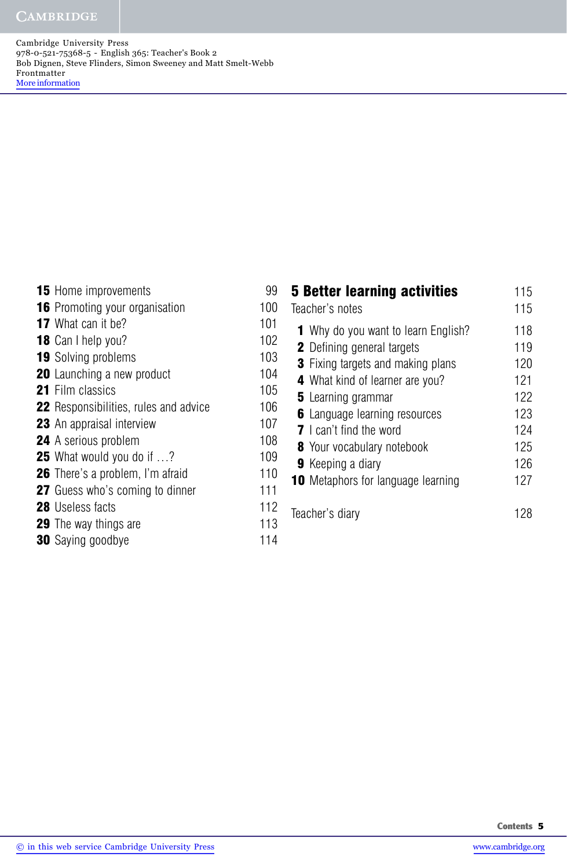**CAMBRIDGE** 

Cambridge University Press 978-0-521-75368-5 - English 365: Teacher's Book 2 Bob Dignen, Steve Flinders, Simon Sweeney and Matt Smelt-Webb Frontmatter More information

 Home improvements 99 Promoting your organisation 100 What can it be? 101 Can I help you? 102 Solving problems 103 Launching a new product 104 Film classics 105 Responsibilities, rules and advice 106 An appraisal interview 107 A serious problem 108 What would you do if ...? 109 There's a problem, I'm afraid 110 Guess who's coming to dinner 111 28 Useless facts 112 The way things are 113 Saying goodbye 114

| <b>5 Better learning activities</b><br>Teacher's notes                          | 115<br>115 |
|---------------------------------------------------------------------------------|------------|
| <b>1</b> Why do you want to learn English?<br><b>2</b> Defining general targets | 118<br>119 |
| <b>3</b> Fixing targets and making plans                                        | 120        |
| <b>4</b> What kind of learner are you?                                          | 121        |
| <b>5</b> Learning grammar                                                       | 122        |
| <b>6</b> Language learning resources                                            | 123        |
| <b>7</b> Lean't find the word                                                   | 124        |
| 8 Your vocabulary notebook                                                      | 125        |
| <b>9</b> Keeping a diary                                                        | 126        |
| <b>10</b> Metaphors for language learning                                       | 127        |
| Teacher's diary                                                                 |            |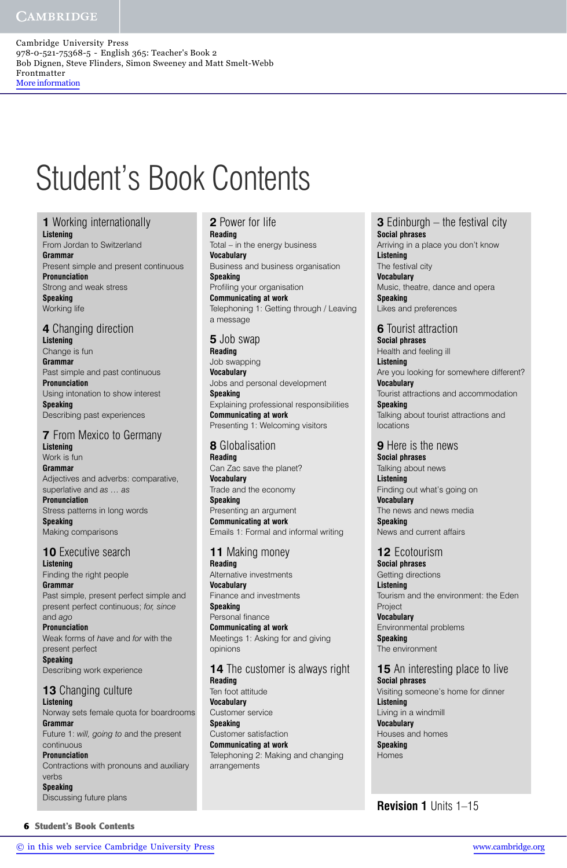## Student's Book Contents

**1** Working internationally

**Listening**  From Jordan to Switzerland **Grammar**  Present simple and present continuous **Pronunciation** Strong and weak stress **Speaking** Working life

## **4** Changing direction

**Listening** Change is fun **Grammar** Past simple and past continuous **Pronunciation** Using intonation to show interest **Speaking** Describing past experiences

## **7** From Mexico to Germany

**Listening** Work is fun **Grammar** Adjectives and adverbs: comparative, superlative and *as … as* **Pronunciation** Stress patterns in long words

**Speaking** Making comparisons

## **10** Executive search

**Listening**  Finding the right people **Grammar** Past simple, present perfect simple and present perfect continuous; *for, since* and *ago*

**Pronunciation** Weak forms of *have* and *for* with the present perfect **Speaking**

Describing work experience

#### **13** Changing culture **Listening** Norway sets female quota for boardrooms

**Grammar** Future 1: *will, going to* and the present continuous **Pronunciation**

Contractions with pronouns and auxiliary verbs **Speaking** Discussing future plans

## **2** Power for life

**Reading** Total – in the energy business **Vocabulary** Business and business organisation **Speaking** Profiling your organisation **Communicating at work** Telephoning 1: Getting through / Leaving a message

## **5** Job swap

**Reading** Job swapping **Vocabulary** Jobs and personal development **Speaking** Explaining professional responsibilities **Communicating at work** Presenting 1: Welcoming visitors

## **8** Globalisation

**Reading** Can Zac save the planet? **Vocabulary** Trade and the economy

**Speaking** Presenting an argument **Communicating at work** Emails 1: Formal and informal writing

## **11** Making money

**Reading** Alternative investments **Vocabulary** Finance and investments **Speaking** Personal finance **Communicating at work** Meetings 1: Asking for and giving opinions

## **14** The customer is always right **Reading**

Ten foot attitude **Vocabulary** Customer service **Speaking** Customer satisfaction **Communicating at work** Telephoning 2: Making and changing arrangements

#### **3** Edinburgh – the festival city **Social phrases**

Arriving in a place you don't know **Listening** The festival city **Vocabulary** Music, theatre, dance and opera **Speaking** Likes and preferences

## **6** Tourist attraction

**Social phrases** Health and feeling ill **Listening** Are you looking for somewhere different? **Vocabulary** Tourist attractions and accommodation **Speaking** Talking about tourist attractions and locations

#### **9** Here is the news

**Social phrases** Talking about news **Listening** Finding out what's going on **Vocabulary** The news and news media **Speaking** News and current affairs

## **12** Ecotourism

**Social phrases** Getting directions **Listening** Tourism and the environment: the Eden **Project Vocabulary** Environmental problems **Speaking** The environment

## **15** An interesting place to live

**Social phrases** Visiting someone's home for dinner **Listening** Living in a windmill **Vocabulary** Houses and homes **Speaking** Homes

**Revision 1** Units 1–15

**6 Student's Book Contents**